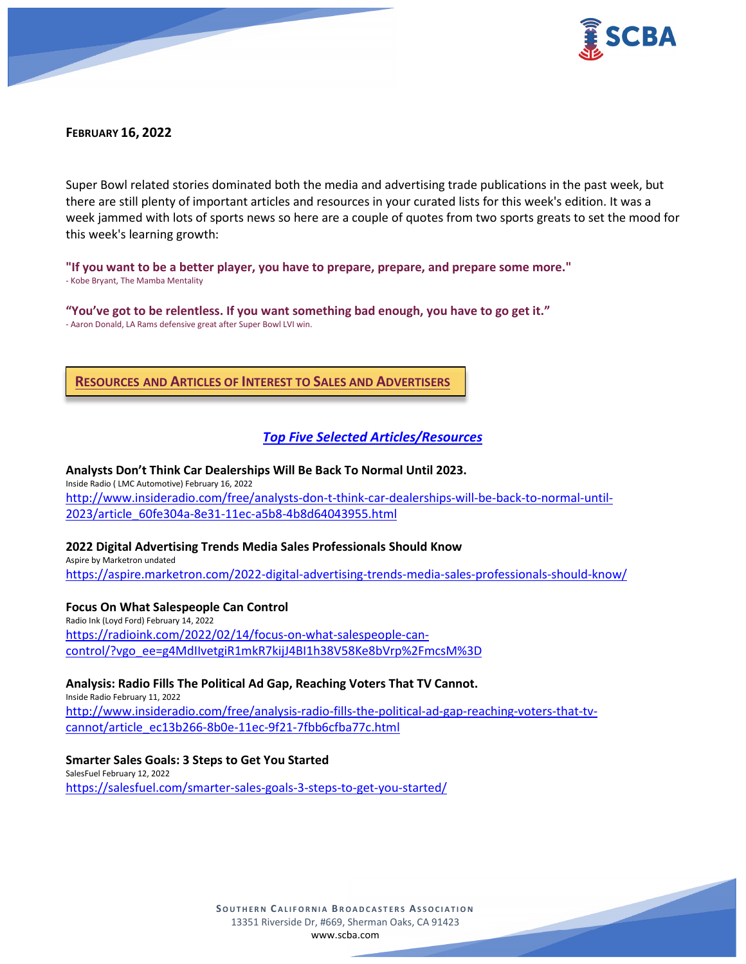

## **FEBRUARY 16, 2022**

Super Bowl related stories dominated both the media and advertising trade publications in the past week, but there are still plenty of important articles and resources in your curated lists for this week's edition. It was a week jammed with lots of sports news so here are a couple of quotes from two sports greats to set the mood for this week's learning growth:

**"If you want to be a better player, you have to prepare, prepare, and prepare some more."** - Kobe Bryant, The Mamba Mentality

**"You've got to be relentless. If you want something bad enough, you have to go get it."** - Aaron Donald, LA Rams defensive great after Super Bowl LVI win.

**RESOURCES AND ARTICLES OF INTEREST TO SALES AND ADVERTISERS**

## *Top Five Selected Articles/Resources*

**Analysts Don't Think Car Dealerships Will Be Back To Normal Until 2023.** Inside Radio ( LMC Automotive) February 16, 2022 [http://www.insideradio.com/free/analysts-don-t-think-car-dealerships-will-be-back-to-normal-until-](http://www.insideradio.com/free/analysts-don-t-think-car-dealerships-will-be-back-to-normal-until-2023/article_60fe304a-8e31-11ec-a5b8-4b8d64043955.html)[2023/article\\_60fe304a-8e31-11ec-a5b8-4b8d64043955.html](http://www.insideradio.com/free/analysts-don-t-think-car-dealerships-will-be-back-to-normal-until-2023/article_60fe304a-8e31-11ec-a5b8-4b8d64043955.html)

#### **2022 Digital Advertising Trends Media Sales Professionals Should Know**

Aspire by Marketron undated <https://aspire.marketron.com/2022-digital-advertising-trends-media-sales-professionals-should-know/>

#### **Focus On What Salespeople Can Control**

Radio Ink (Loyd Ford) February 14, 2022 [https://radioink.com/2022/02/14/focus-on-what-salespeople-can](https://radioink.com/2022/02/14/focus-on-what-salespeople-can-control/?vgo_ee=g4MdIIvetgiR1mkR7kijJ4BI1h38V58Ke8bVrp%2FmcsM%3D)[control/?vgo\\_ee=g4MdIIvetgiR1mkR7kijJ4BI1h38V58Ke8bVrp%2FmcsM%3D](https://radioink.com/2022/02/14/focus-on-what-salespeople-can-control/?vgo_ee=g4MdIIvetgiR1mkR7kijJ4BI1h38V58Ke8bVrp%2FmcsM%3D)

**Analysis: Radio Fills The Political Ad Gap, Reaching Voters That TV Cannot.** Inside Radio February 11, 2022 [http://www.insideradio.com/free/analysis-radio-fills-the-political-ad-gap-reaching-voters-that-tv](http://www.insideradio.com/free/analysis-radio-fills-the-political-ad-gap-reaching-voters-that-tv-cannot/article_ec13b266-8b0e-11ec-9f21-7fbb6cfba77c.html)[cannot/article\\_ec13b266-8b0e-11ec-9f21-7fbb6cfba77c.html](http://www.insideradio.com/free/analysis-radio-fills-the-political-ad-gap-reaching-voters-that-tv-cannot/article_ec13b266-8b0e-11ec-9f21-7fbb6cfba77c.html)

**Smarter Sales Goals: 3 Steps to Get You Started** SalesFuel February 12, 2022 <https://salesfuel.com/smarter-sales-goals-3-steps-to-get-you-started/>

> **SOUTHERN C ALIFORNIA B ROADCASTERS ASSOCIATION** 13351 Riverside Dr, #669, Sherman Oaks, CA 91423 [www.scba.com](http://www.scba.com/)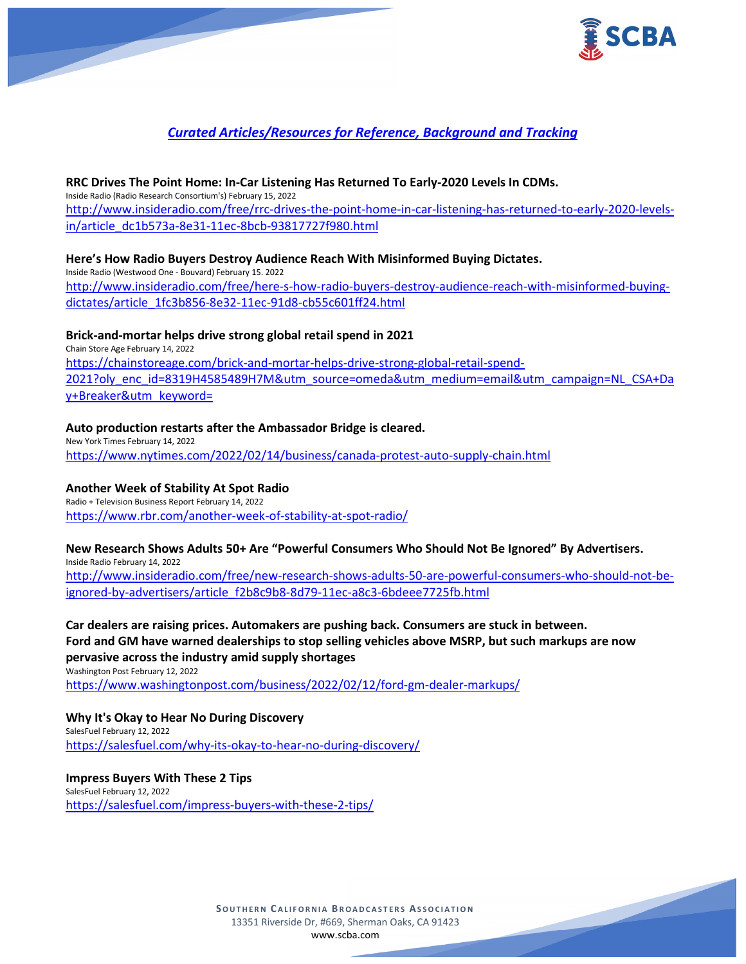

## *Curated Articles/Resources for Reference, Background and Tracking*

#### **RRC Drives The Point Home: In-Car Listening Has Returned To Early-2020 Levels In CDMs.**

Inside Radio (Radio Research Consortium's) February 15, 2022 [http://www.insideradio.com/free/rrc-drives-the-point-home-in-car-listening-has-returned-to-early-2020-levels](http://www.insideradio.com/free/rrc-drives-the-point-home-in-car-listening-has-returned-to-early-2020-levels-in/article_dc1b573a-8e31-11ec-8bcb-93817727f980.html)[in/article\\_dc1b573a-8e31-11ec-8bcb-93817727f980.html](http://www.insideradio.com/free/rrc-drives-the-point-home-in-car-listening-has-returned-to-early-2020-levels-in/article_dc1b573a-8e31-11ec-8bcb-93817727f980.html)

## **Here's How Radio Buyers Destroy Audience Reach With Misinformed Buying Dictates.**

Inside Radio (Westwood One - Bouvard) February 15. 2022 [http://www.insideradio.com/free/here-s-how-radio-buyers-destroy-audience-reach-with-misinformed-buying](http://www.insideradio.com/free/here-s-how-radio-buyers-destroy-audience-reach-with-misinformed-buying-dictates/article_1fc3b856-8e32-11ec-91d8-cb55c601ff24.html)[dictates/article\\_1fc3b856-8e32-11ec-91d8-cb55c601ff24.html](http://www.insideradio.com/free/here-s-how-radio-buyers-destroy-audience-reach-with-misinformed-buying-dictates/article_1fc3b856-8e32-11ec-91d8-cb55c601ff24.html)

#### **Brick-and-mortar helps drive strong global retail spend in 2021**

Chain Store Age February 14, 2022 [https://chainstoreage.com/brick-and-mortar-helps-drive-strong-global-retail-spend-](https://chainstoreage.com/brick-and-mortar-helps-drive-strong-global-retail-spend-2021?oly_enc_id=8319H4585489H7M&utm_source=omeda&utm_medium=email&utm_campaign=NL_CSA+Day+Breaker&utm_keyword=)[2021?oly\\_enc\\_id=8319H4585489H7M&utm\\_source=omeda&utm\\_medium=email&utm\\_campaign=NL\\_CSA+Da](https://chainstoreage.com/brick-and-mortar-helps-drive-strong-global-retail-spend-2021?oly_enc_id=8319H4585489H7M&utm_source=omeda&utm_medium=email&utm_campaign=NL_CSA+Day+Breaker&utm_keyword=) [y+Breaker&utm\\_keyword=](https://chainstoreage.com/brick-and-mortar-helps-drive-strong-global-retail-spend-2021?oly_enc_id=8319H4585489H7M&utm_source=omeda&utm_medium=email&utm_campaign=NL_CSA+Day+Breaker&utm_keyword=)

#### **Auto production restarts after the Ambassador Bridge is cleared.**

New York Times February 14, 2022 <https://www.nytimes.com/2022/02/14/business/canada-protest-auto-supply-chain.html>

## **Another Week of Stability At Spot Radio**

Radio + Television Business Report February 14, 2022 <https://www.rbr.com/another-week-of-stability-at-spot-radio/>

#### **New Research Shows Adults 50+ Are "Powerful Consumers Who Should Not Be Ignored" By Advertisers.**

Inside Radio February 14, 2022 [http://www.insideradio.com/free/new-research-shows-adults-50-are-powerful-consumers-who-should-not-be](http://www.insideradio.com/free/new-research-shows-adults-50-are-powerful-consumers-who-should-not-be-ignored-by-advertisers/article_f2b8c9b8-8d79-11ec-a8c3-6bdeee7725fb.html)[ignored-by-advertisers/article\\_f2b8c9b8-8d79-11ec-a8c3-6bdeee7725fb.html](http://www.insideradio.com/free/new-research-shows-adults-50-are-powerful-consumers-who-should-not-be-ignored-by-advertisers/article_f2b8c9b8-8d79-11ec-a8c3-6bdeee7725fb.html)

## **Car dealers are raising prices. Automakers are pushing back. Consumers are stuck in between. Ford and GM have warned dealerships to stop selling vehicles above MSRP, but such markups are now pervasive across the industry amid supply shortages**

Washington Post February 12, 2022 <https://www.washingtonpost.com/business/2022/02/12/ford-gm-dealer-markups/>

**Why It's Okay to Hear No During Discovery** SalesFuel February 12, 2022 <https://salesfuel.com/why-its-okay-to-hear-no-during-discovery/>

## **Impress Buyers With These 2 Tips**

SalesFuel February 12, 2022 <https://salesfuel.com/impress-buyers-with-these-2-tips/>

> **SOUTHERN C ALIFORNIA B ROADCASTERS ASSOCIATION** 13351 Riverside Dr, #669, Sherman Oaks, CA 91423 [www.scba.com](http://www.scba.com/)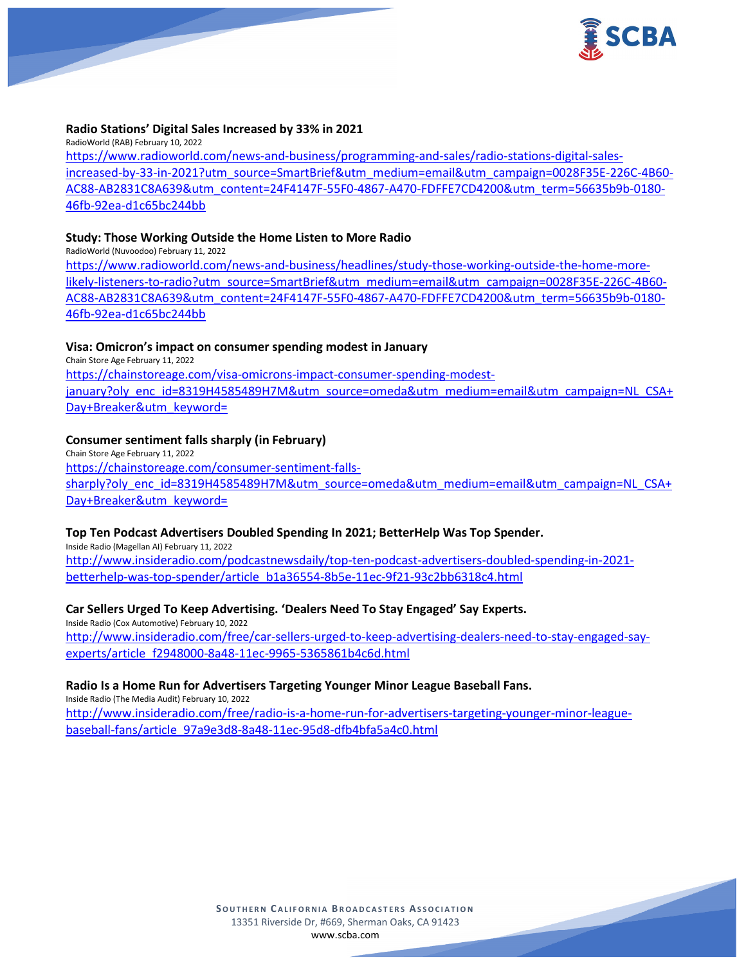

#### **Radio Stations' Digital Sales Increased by 33% in 2021**

RadioWorld (RAB) February 10, 2022 [https://www.radioworld.com/news-and-business/programming-and-sales/radio-stations-digital-sales](https://www.radioworld.com/news-and-business/programming-and-sales/radio-stations-digital-sales-increased-by-33-in-2021?utm_source=SmartBrief&utm_medium=email&utm_campaign=0028F35E-226C-4B60-AC88-AB2831C8A639&utm_content=24F4147F-55F0-4867-A470-FDFFE7CD4200&utm_term=56635b9b-0180-46fb-92ea-d1c65bc244bb)[increased-by-33-in-2021?utm\\_source=SmartBrief&utm\\_medium=email&utm\\_campaign=0028F35E-226C-4B60-](https://www.radioworld.com/news-and-business/programming-and-sales/radio-stations-digital-sales-increased-by-33-in-2021?utm_source=SmartBrief&utm_medium=email&utm_campaign=0028F35E-226C-4B60-AC88-AB2831C8A639&utm_content=24F4147F-55F0-4867-A470-FDFFE7CD4200&utm_term=56635b9b-0180-46fb-92ea-d1c65bc244bb) [AC88-AB2831C8A639&utm\\_content=24F4147F-55F0-4867-A470-FDFFE7CD4200&utm\\_term=56635b9b-0180-](https://www.radioworld.com/news-and-business/programming-and-sales/radio-stations-digital-sales-increased-by-33-in-2021?utm_source=SmartBrief&utm_medium=email&utm_campaign=0028F35E-226C-4B60-AC88-AB2831C8A639&utm_content=24F4147F-55F0-4867-A470-FDFFE7CD4200&utm_term=56635b9b-0180-46fb-92ea-d1c65bc244bb) [46fb-92ea-d1c65bc244bb](https://www.radioworld.com/news-and-business/programming-and-sales/radio-stations-digital-sales-increased-by-33-in-2021?utm_source=SmartBrief&utm_medium=email&utm_campaign=0028F35E-226C-4B60-AC88-AB2831C8A639&utm_content=24F4147F-55F0-4867-A470-FDFFE7CD4200&utm_term=56635b9b-0180-46fb-92ea-d1c65bc244bb)

## **Study: Those Working Outside the Home Listen to More Radio**

RadioWorld (Nuvoodoo) February 11, 2022

[https://www.radioworld.com/news-and-business/headlines/study-those-working-outside-the-home-more](https://www.radioworld.com/news-and-business/headlines/study-those-working-outside-the-home-more-likely-listeners-to-radio?utm_source=SmartBrief&utm_medium=email&utm_campaign=0028F35E-226C-4B60-AC88-AB2831C8A639&utm_content=24F4147F-55F0-4867-A470-FDFFE7CD4200&utm_term=56635b9b-0180-46fb-92ea-d1c65bc244bb)[likely-listeners-to-radio?utm\\_source=SmartBrief&utm\\_medium=email&utm\\_campaign=0028F35E-226C-4B60-](https://www.radioworld.com/news-and-business/headlines/study-those-working-outside-the-home-more-likely-listeners-to-radio?utm_source=SmartBrief&utm_medium=email&utm_campaign=0028F35E-226C-4B60-AC88-AB2831C8A639&utm_content=24F4147F-55F0-4867-A470-FDFFE7CD4200&utm_term=56635b9b-0180-46fb-92ea-d1c65bc244bb) [AC88-AB2831C8A639&utm\\_content=24F4147F-55F0-4867-A470-FDFFE7CD4200&utm\\_term=56635b9b-0180-](https://www.radioworld.com/news-and-business/headlines/study-those-working-outside-the-home-more-likely-listeners-to-radio?utm_source=SmartBrief&utm_medium=email&utm_campaign=0028F35E-226C-4B60-AC88-AB2831C8A639&utm_content=24F4147F-55F0-4867-A470-FDFFE7CD4200&utm_term=56635b9b-0180-46fb-92ea-d1c65bc244bb) [46fb-92ea-d1c65bc244bb](https://www.radioworld.com/news-and-business/headlines/study-those-working-outside-the-home-more-likely-listeners-to-radio?utm_source=SmartBrief&utm_medium=email&utm_campaign=0028F35E-226C-4B60-AC88-AB2831C8A639&utm_content=24F4147F-55F0-4867-A470-FDFFE7CD4200&utm_term=56635b9b-0180-46fb-92ea-d1c65bc244bb)

## **Visa: Omicron's impact on consumer spending modest in January**

Chain Store Age February 11, 2022 [https://chainstoreage.com/visa-omicrons-impact-consumer-spending-modest](https://chainstoreage.com/visa-omicrons-impact-consumer-spending-modest-january?oly_enc_id=8319H4585489H7M&utm_source=omeda&utm_medium=email&utm_campaign=NL_CSA+Day+Breaker&utm_keyword=)[january?oly\\_enc\\_id=8319H4585489H7M&utm\\_source=omeda&utm\\_medium=email&utm\\_campaign=NL\\_CSA+](https://chainstoreage.com/visa-omicrons-impact-consumer-spending-modest-january?oly_enc_id=8319H4585489H7M&utm_source=omeda&utm_medium=email&utm_campaign=NL_CSA+Day+Breaker&utm_keyword=) [Day+Breaker&utm\\_keyword=](https://chainstoreage.com/visa-omicrons-impact-consumer-spending-modest-january?oly_enc_id=8319H4585489H7M&utm_source=omeda&utm_medium=email&utm_campaign=NL_CSA+Day+Breaker&utm_keyword=)

## **Consumer sentiment falls sharply (in February)**

Chain Store Age February 11, 2022 [https://chainstoreage.com/consumer-sentiment-falls](https://chainstoreage.com/consumer-sentiment-falls-sharply?oly_enc_id=8319H4585489H7M&utm_source=omeda&utm_medium=email&utm_campaign=NL_CSA+Day+Breaker&utm_keyword=)[sharply?oly\\_enc\\_id=8319H4585489H7M&utm\\_source=omeda&utm\\_medium=email&utm\\_campaign=NL\\_CSA+](https://chainstoreage.com/consumer-sentiment-falls-sharply?oly_enc_id=8319H4585489H7M&utm_source=omeda&utm_medium=email&utm_campaign=NL_CSA+Day+Breaker&utm_keyword=) [Day+Breaker&utm\\_keyword=](https://chainstoreage.com/consumer-sentiment-falls-sharply?oly_enc_id=8319H4585489H7M&utm_source=omeda&utm_medium=email&utm_campaign=NL_CSA+Day+Breaker&utm_keyword=)

#### **Top Ten Podcast Advertisers Doubled Spending In 2021; BetterHelp Was Top Spender.**

Inside Radio (Magellan AI) February 11, 2022 [http://www.insideradio.com/podcastnewsdaily/top-ten-podcast-advertisers-doubled-spending-in-2021](http://www.insideradio.com/podcastnewsdaily/top-ten-podcast-advertisers-doubled-spending-in-2021-betterhelp-was-top-spender/article_b1a36554-8b5e-11ec-9f21-93c2bb6318c4.html) [betterhelp-was-top-spender/article\\_b1a36554-8b5e-11ec-9f21-93c2bb6318c4.html](http://www.insideradio.com/podcastnewsdaily/top-ten-podcast-advertisers-doubled-spending-in-2021-betterhelp-was-top-spender/article_b1a36554-8b5e-11ec-9f21-93c2bb6318c4.html)

## **Car Sellers Urged To Keep Advertising. 'Dealers Need To Stay Engaged' Say Experts.**

Inside Radio (Cox Automotive) February 10, 2022 [http://www.insideradio.com/free/car-sellers-urged-to-keep-advertising-dealers-need-to-stay-engaged-say](http://www.insideradio.com/free/car-sellers-urged-to-keep-advertising-dealers-need-to-stay-engaged-say-experts/article_f2948000-8a48-11ec-9965-5365861b4c6d.html)[experts/article\\_f2948000-8a48-11ec-9965-5365861b4c6d.html](http://www.insideradio.com/free/car-sellers-urged-to-keep-advertising-dealers-need-to-stay-engaged-say-experts/article_f2948000-8a48-11ec-9965-5365861b4c6d.html)

#### **Radio Is a Home Run for Advertisers Targeting Younger Minor League Baseball Fans.**

Inside Radio (The Media Audit) February 10, 2022 [http://www.insideradio.com/free/radio-is-a-home-run-for-advertisers-targeting-younger-minor-league](http://www.insideradio.com/free/radio-is-a-home-run-for-advertisers-targeting-younger-minor-league-baseball-fans/article_97a9e3d8-8a48-11ec-95d8-dfb4bfa5a4c0.html)[baseball-fans/article\\_97a9e3d8-8a48-11ec-95d8-dfb4bfa5a4c0.html](http://www.insideradio.com/free/radio-is-a-home-run-for-advertisers-targeting-younger-minor-league-baseball-fans/article_97a9e3d8-8a48-11ec-95d8-dfb4bfa5a4c0.html)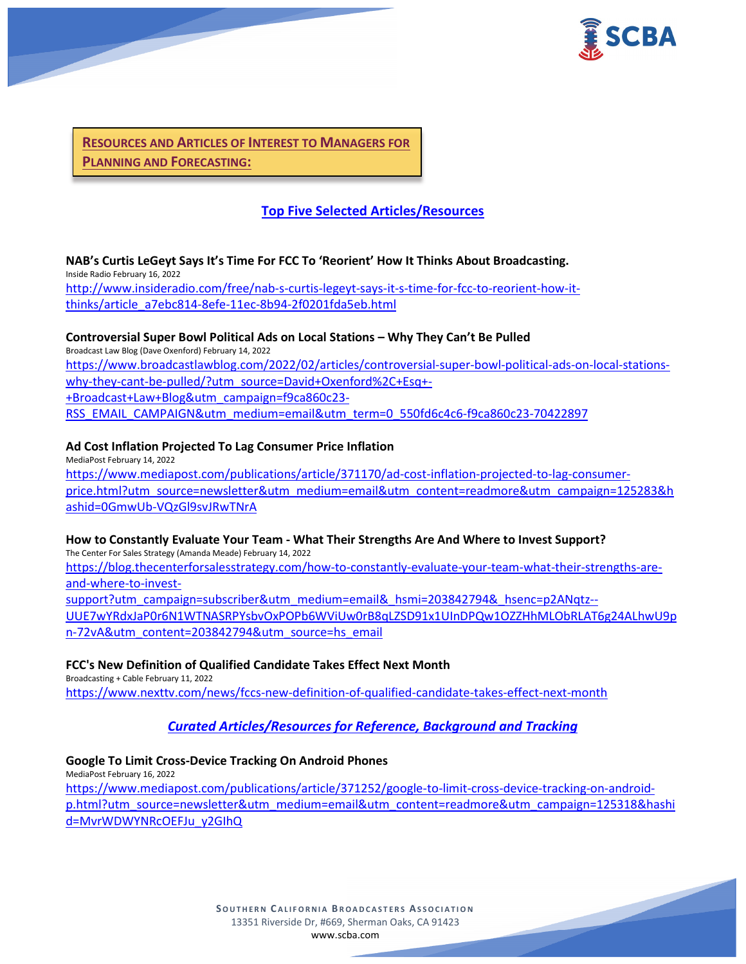

**RESOURCES AND ARTICLES OF INTEREST TO MANAGERS FOR PLANNING AND FORECASTING:**

# **Top Five Selected Articles/Resources**

# **NAB's Curtis LeGeyt Says It's Time For FCC To 'Reorient' How It Thinks About Broadcasting.**

Inside Radio February 16, 2022

[http://www.insideradio.com/free/nab-s-curtis-legeyt-says-it-s-time-for-fcc-to-reorient-how-it](http://www.insideradio.com/free/nab-s-curtis-legeyt-says-it-s-time-for-fcc-to-reorient-how-it-thinks/article_a7ebc814-8efe-11ec-8b94-2f0201fda5eb.html)[thinks/article\\_a7ebc814-8efe-11ec-8b94-2f0201fda5eb.html](http://www.insideradio.com/free/nab-s-curtis-legeyt-says-it-s-time-for-fcc-to-reorient-how-it-thinks/article_a7ebc814-8efe-11ec-8b94-2f0201fda5eb.html)

## **Controversial Super Bowl Political Ads on Local Stations – Why They Can't Be Pulled**

Broadcast Law Blog (Dave Oxenford) February 14, 2022 [https://www.broadcastlawblog.com/2022/02/articles/controversial-super-bowl-political-ads-on-local-stations](https://www.broadcastlawblog.com/2022/02/articles/controversial-super-bowl-political-ads-on-local-stations-why-they-cant-be-pulled/?utm_source=David+Oxenford%2C+Esq+-+Broadcast+Law+Blog&utm_campaign=f9ca860c23-RSS_EMAIL_CAMPAIGN&utm_medium=email&utm_term=0_550fd6c4c6-f9ca860c23-70422897)[why-they-cant-be-pulled/?utm\\_source=David+Oxenford%2C+Esq+-](https://www.broadcastlawblog.com/2022/02/articles/controversial-super-bowl-political-ads-on-local-stations-why-they-cant-be-pulled/?utm_source=David+Oxenford%2C+Esq+-+Broadcast+Law+Blog&utm_campaign=f9ca860c23-RSS_EMAIL_CAMPAIGN&utm_medium=email&utm_term=0_550fd6c4c6-f9ca860c23-70422897) [+Broadcast+Law+Blog&utm\\_campaign=f9ca860c23-](https://www.broadcastlawblog.com/2022/02/articles/controversial-super-bowl-political-ads-on-local-stations-why-they-cant-be-pulled/?utm_source=David+Oxenford%2C+Esq+-+Broadcast+Law+Blog&utm_campaign=f9ca860c23-RSS_EMAIL_CAMPAIGN&utm_medium=email&utm_term=0_550fd6c4c6-f9ca860c23-70422897) [RSS\\_EMAIL\\_CAMPAIGN&utm\\_medium=email&utm\\_term=0\\_550fd6c4c6-f9ca860c23-70422897](https://www.broadcastlawblog.com/2022/02/articles/controversial-super-bowl-political-ads-on-local-stations-why-they-cant-be-pulled/?utm_source=David+Oxenford%2C+Esq+-+Broadcast+Law+Blog&utm_campaign=f9ca860c23-RSS_EMAIL_CAMPAIGN&utm_medium=email&utm_term=0_550fd6c4c6-f9ca860c23-70422897)

## **Ad Cost Inflation Projected To Lag Consumer Price Inflation**

MediaPost February 14, 2022 [https://www.mediapost.com/publications/article/371170/ad-cost-inflation-projected-to-lag-consumer](https://www.mediapost.com/publications/article/371170/ad-cost-inflation-projected-to-lag-consumer-price.html?utm_source=newsletter&utm_medium=email&utm_content=readmore&utm_campaign=125283&hashid=0GmwUb-VQzGl9svJRwTNrA)[price.html?utm\\_source=newsletter&utm\\_medium=email&utm\\_content=readmore&utm\\_campaign=125283&h](https://www.mediapost.com/publications/article/371170/ad-cost-inflation-projected-to-lag-consumer-price.html?utm_source=newsletter&utm_medium=email&utm_content=readmore&utm_campaign=125283&hashid=0GmwUb-VQzGl9svJRwTNrA) [ashid=0GmwUb-VQzGl9svJRwTNrA](https://www.mediapost.com/publications/article/371170/ad-cost-inflation-projected-to-lag-consumer-price.html?utm_source=newsletter&utm_medium=email&utm_content=readmore&utm_campaign=125283&hashid=0GmwUb-VQzGl9svJRwTNrA)

## **How to Constantly Evaluate Your Team - What Their Strengths Are And Where to Invest Support?**

The Center For Sales Strategy (Amanda Meade) February 14, 2022 [https://blog.thecenterforsalesstrategy.com/how-to-constantly-evaluate-your-team-what-their-strengths-are](https://blog.thecenterforsalesstrategy.com/how-to-constantly-evaluate-your-team-what-their-strengths-are-and-where-to-invest-support?utm_campaign=subscriber&utm_medium=email&_hsmi=203842794&_hsenc=p2ANqtz--UUE7wYRdxJaP0r6N1WTNASRPYsbvOxPOPb6WViUw0rB8qLZSD91x1UInDPQw1OZZHhMLObRLAT6g24ALhwU9pn-72vA&utm_content=203842794&utm_source=hs_email)[and-where-to-invest](https://blog.thecenterforsalesstrategy.com/how-to-constantly-evaluate-your-team-what-their-strengths-are-and-where-to-invest-support?utm_campaign=subscriber&utm_medium=email&_hsmi=203842794&_hsenc=p2ANqtz--UUE7wYRdxJaP0r6N1WTNASRPYsbvOxPOPb6WViUw0rB8qLZSD91x1UInDPQw1OZZHhMLObRLAT6g24ALhwU9pn-72vA&utm_content=203842794&utm_source=hs_email)[support?utm\\_campaign=subscriber&utm\\_medium=email&\\_hsmi=203842794&\\_hsenc=p2ANqtz--](https://blog.thecenterforsalesstrategy.com/how-to-constantly-evaluate-your-team-what-their-strengths-are-and-where-to-invest-support?utm_campaign=subscriber&utm_medium=email&_hsmi=203842794&_hsenc=p2ANqtz--UUE7wYRdxJaP0r6N1WTNASRPYsbvOxPOPb6WViUw0rB8qLZSD91x1UInDPQw1OZZHhMLObRLAT6g24ALhwU9pn-72vA&utm_content=203842794&utm_source=hs_email)

[UUE7wYRdxJaP0r6N1WTNASRPYsbvOxPOPb6WViUw0rB8qLZSD91x1UInDPQw1OZZHhMLObRLAT6g24ALhwU9p](https://blog.thecenterforsalesstrategy.com/how-to-constantly-evaluate-your-team-what-their-strengths-are-and-where-to-invest-support?utm_campaign=subscriber&utm_medium=email&_hsmi=203842794&_hsenc=p2ANqtz--UUE7wYRdxJaP0r6N1WTNASRPYsbvOxPOPb6WViUw0rB8qLZSD91x1UInDPQw1OZZHhMLObRLAT6g24ALhwU9pn-72vA&utm_content=203842794&utm_source=hs_email) [n-72vA&utm\\_content=203842794&utm\\_source=hs\\_email](https://blog.thecenterforsalesstrategy.com/how-to-constantly-evaluate-your-team-what-their-strengths-are-and-where-to-invest-support?utm_campaign=subscriber&utm_medium=email&_hsmi=203842794&_hsenc=p2ANqtz--UUE7wYRdxJaP0r6N1WTNASRPYsbvOxPOPb6WViUw0rB8qLZSD91x1UInDPQw1OZZHhMLObRLAT6g24ALhwU9pn-72vA&utm_content=203842794&utm_source=hs_email)

## **FCC's New Definition of Qualified Candidate Takes Effect Next Month**

Broadcasting + Cable February 11, 2022 <https://www.nexttv.com/news/fccs-new-definition-of-qualified-candidate-takes-effect-next-month>

# *Curated Articles/Resources for Reference, Background and Tracking*

## **Google To Limit Cross-Device Tracking On Android Phones**

MediaPost February 16, 2022 [https://www.mediapost.com/publications/article/371252/google-to-limit-cross-device-tracking-on-android](https://www.mediapost.com/publications/article/371252/google-to-limit-cross-device-tracking-on-android-p.html?utm_source=newsletter&utm_medium=email&utm_content=readmore&utm_campaign=125318&hashid=MvrWDWYNRcOEFJu_y2GIhQ)[p.html?utm\\_source=newsletter&utm\\_medium=email&utm\\_content=readmore&utm\\_campaign=125318&hashi](https://www.mediapost.com/publications/article/371252/google-to-limit-cross-device-tracking-on-android-p.html?utm_source=newsletter&utm_medium=email&utm_content=readmore&utm_campaign=125318&hashid=MvrWDWYNRcOEFJu_y2GIhQ) [d=MvrWDWYNRcOEFJu\\_y2GIhQ](https://www.mediapost.com/publications/article/371252/google-to-limit-cross-device-tracking-on-android-p.html?utm_source=newsletter&utm_medium=email&utm_content=readmore&utm_campaign=125318&hashid=MvrWDWYNRcOEFJu_y2GIhQ)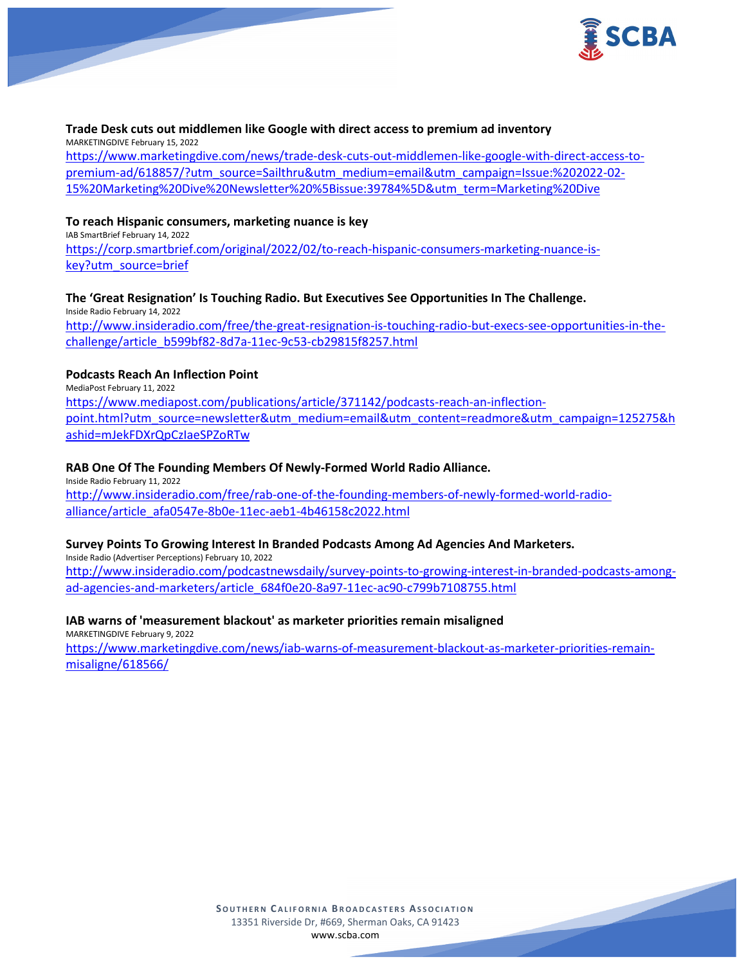

## **Trade Desk cuts out middlemen like Google with direct access to premium ad inventory**

MARKETINGDIVE February 15, 2022

[https://www.marketingdive.com/news/trade-desk-cuts-out-middlemen-like-google-with-direct-access-to](https://www.marketingdive.com/news/trade-desk-cuts-out-middlemen-like-google-with-direct-access-to-premium-ad/618857/?utm_source=Sailthru&utm_medium=email&utm_campaign=Issue:%202022-02-15%20Marketing%20Dive%20Newsletter%20%5Bissue:39784%5D&utm_term=Marketing%20Dive)[premium-ad/618857/?utm\\_source=Sailthru&utm\\_medium=email&utm\\_campaign=Issue:%202022-02-](https://www.marketingdive.com/news/trade-desk-cuts-out-middlemen-like-google-with-direct-access-to-premium-ad/618857/?utm_source=Sailthru&utm_medium=email&utm_campaign=Issue:%202022-02-15%20Marketing%20Dive%20Newsletter%20%5Bissue:39784%5D&utm_term=Marketing%20Dive) [15%20Marketing%20Dive%20Newsletter%20%5Bissue:39784%5D&utm\\_term=Marketing%20Dive](https://www.marketingdive.com/news/trade-desk-cuts-out-middlemen-like-google-with-direct-access-to-premium-ad/618857/?utm_source=Sailthru&utm_medium=email&utm_campaign=Issue:%202022-02-15%20Marketing%20Dive%20Newsletter%20%5Bissue:39784%5D&utm_term=Marketing%20Dive)

## **To reach Hispanic consumers, marketing nuance is key**

IAB SmartBrief February 14, 2022 [https://corp.smartbrief.com/original/2022/02/to-reach-hispanic-consumers-marketing-nuance-is](https://corp.smartbrief.com/original/2022/02/to-reach-hispanic-consumers-marketing-nuance-is-key?utm_source=brief)[key?utm\\_source=brief](https://corp.smartbrief.com/original/2022/02/to-reach-hispanic-consumers-marketing-nuance-is-key?utm_source=brief)

## **The 'Great Resignation' Is Touching Radio. But Executives See Opportunities In The Challenge.**

Inside Radio February 14, 2022 [http://www.insideradio.com/free/the-great-resignation-is-touching-radio-but-execs-see-opportunities-in-the](http://www.insideradio.com/free/the-great-resignation-is-touching-radio-but-execs-see-opportunities-in-the-challenge/article_b599bf82-8d7a-11ec-9c53-cb29815f8257.html)[challenge/article\\_b599bf82-8d7a-11ec-9c53-cb29815f8257.html](http://www.insideradio.com/free/the-great-resignation-is-touching-radio-but-execs-see-opportunities-in-the-challenge/article_b599bf82-8d7a-11ec-9c53-cb29815f8257.html)

## **Podcasts Reach An Inflection Point**

MediaPost February 11, 2022 [https://www.mediapost.com/publications/article/371142/podcasts-reach-an-inflection](https://www.mediapost.com/publications/article/371142/podcasts-reach-an-inflection-point.html?utm_source=newsletter&utm_medium=email&utm_content=readmore&utm_campaign=125275&hashid=mJekFDXrQpCzIaeSPZoRTw)[point.html?utm\\_source=newsletter&utm\\_medium=email&utm\\_content=readmore&utm\\_campaign=125275&h](https://www.mediapost.com/publications/article/371142/podcasts-reach-an-inflection-point.html?utm_source=newsletter&utm_medium=email&utm_content=readmore&utm_campaign=125275&hashid=mJekFDXrQpCzIaeSPZoRTw) [ashid=mJekFDXrQpCzIaeSPZoRTw](https://www.mediapost.com/publications/article/371142/podcasts-reach-an-inflection-point.html?utm_source=newsletter&utm_medium=email&utm_content=readmore&utm_campaign=125275&hashid=mJekFDXrQpCzIaeSPZoRTw)

## **RAB One Of The Founding Members Of Newly-Formed World Radio Alliance.**

Inside Radio February 11, 2022 [http://www.insideradio.com/free/rab-one-of-the-founding-members-of-newly-formed-world-radio](http://www.insideradio.com/free/rab-one-of-the-founding-members-of-newly-formed-world-radio-alliance/article_afa0547e-8b0e-11ec-aeb1-4b46158c2022.html)[alliance/article\\_afa0547e-8b0e-11ec-aeb1-4b46158c2022.html](http://www.insideradio.com/free/rab-one-of-the-founding-members-of-newly-formed-world-radio-alliance/article_afa0547e-8b0e-11ec-aeb1-4b46158c2022.html)

## **Survey Points To Growing Interest In Branded Podcasts Among Ad Agencies And Marketers.**

Inside Radio (Advertiser Perceptions) February 10, 2022 [http://www.insideradio.com/podcastnewsdaily/survey-points-to-growing-interest-in-branded-podcasts-among](http://www.insideradio.com/podcastnewsdaily/survey-points-to-growing-interest-in-branded-podcasts-among-ad-agencies-and-marketers/article_684f0e20-8a97-11ec-ac90-c799b7108755.html)[ad-agencies-and-marketers/article\\_684f0e20-8a97-11ec-ac90-c799b7108755.html](http://www.insideradio.com/podcastnewsdaily/survey-points-to-growing-interest-in-branded-podcasts-among-ad-agencies-and-marketers/article_684f0e20-8a97-11ec-ac90-c799b7108755.html)

## **IAB warns of 'measurement blackout' as marketer priorities remain misaligned**

MARKETINGDIVE February 9, 2022 [https://www.marketingdive.com/news/iab-warns-of-measurement-blackout-as-marketer-priorities-remain](https://www.marketingdive.com/news/iab-warns-of-measurement-blackout-as-marketer-priorities-remain-misaligne/618566/)[misaligne/618566/](https://www.marketingdive.com/news/iab-warns-of-measurement-blackout-as-marketer-priorities-remain-misaligne/618566/)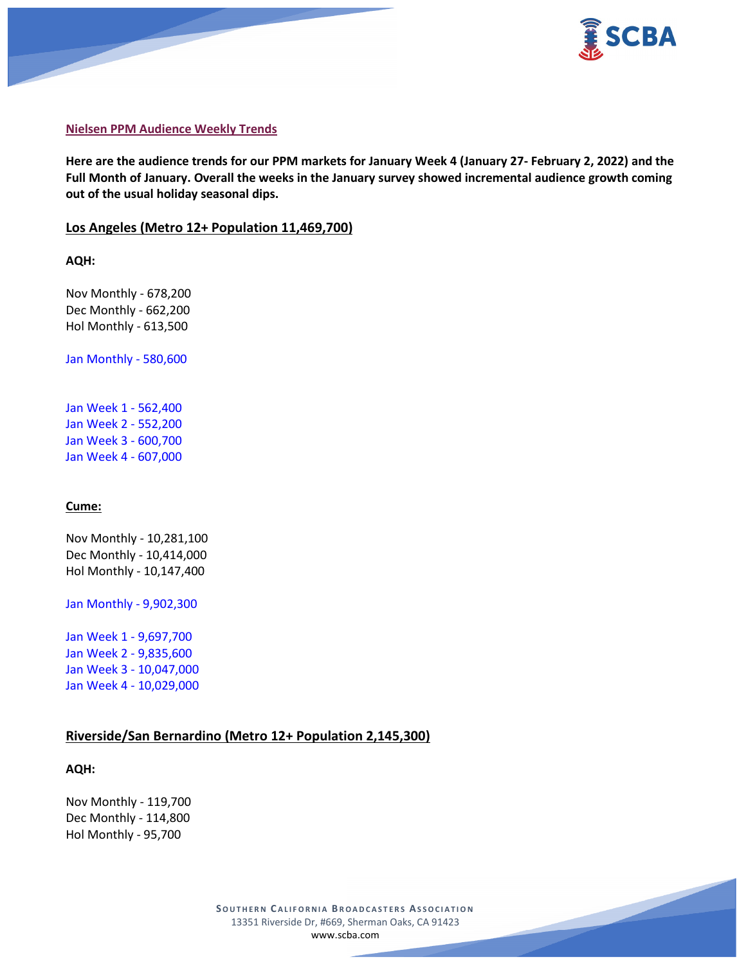



#### **Nielsen PPM Audience Weekly Trends**

**Here are the audience trends for our PPM markets for January Week 4 (January 27- February 2, 2022) and the Full Month of January. Overall the weeks in the January survey showed incremental audience growth coming out of the usual holiday seasonal dips.**

#### **Los Angeles (Metro 12+ Population 11,469,700)**

**AQH:**

Nov Monthly - 678,200 Dec Monthly - 662,200 Hol Monthly - 613,500

Jan Monthly - 580,600

Jan Week 1 - 562,400 Jan Week 2 - 552,200 Jan Week 3 - 600,700 Jan Week 4 - 607,000

#### **Cume:**

Nov Monthly - 10,281,100 Dec Monthly - 10,414,000 Hol Monthly - 10,147,400

Jan Monthly - 9,902,300

Jan Week 1 - 9,697,700 Jan Week 2 - 9,835,600 Jan Week 3 - 10,047,000 Jan Week 4 - 10,029,000

## **Riverside/San Bernardino (Metro 12+ Population 2,145,300)**

#### **AQH:**

Nov Monthly - 119,700 Dec Monthly - 114,800 Hol Monthly - 95,700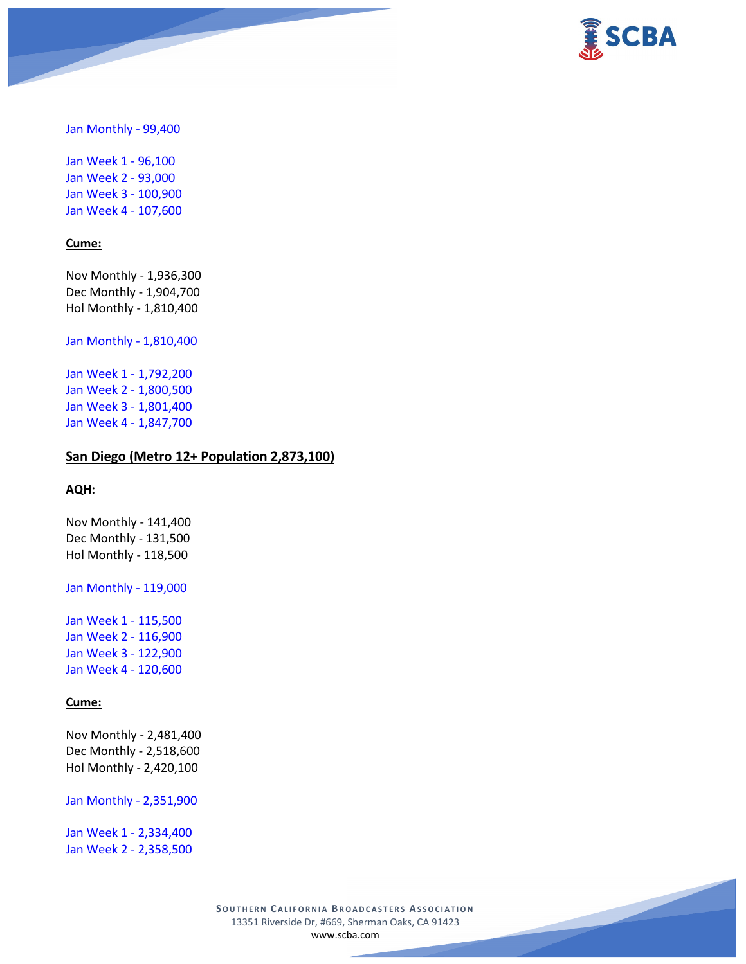

Jan Monthly - 99,400

Jan Week 1 - 96,100 Jan Week 2 - 93,000 Jan Week 3 - 100,900 Jan Week 4 - 107,600

#### **Cume:**

Nov Monthly - 1,936,300 Dec Monthly - 1,904,700 Hol Monthly - 1,810,400

Jan Monthly - 1,810,400

Jan Week 1 - 1,792,200 Jan Week 2 - 1,800,500 Jan Week 3 - 1,801,400 Jan Week 4 - 1,847,700

#### **San Diego (Metro 12+ Population 2,873,100)**

## **AQH:**

Nov Monthly - 141,400 Dec Monthly - 131,500 Hol Monthly - 118,500

Jan Monthly - 119,000

Jan Week 1 - 115,500 Jan Week 2 - 116,900 Jan Week 3 - 122,900 Jan Week 4 - 120,600

## **Cume:**

Nov Monthly - 2,481,400 Dec Monthly - 2,518,600 Hol Monthly - 2,420,100

Jan Monthly - 2,351,900

Jan Week 1 - 2,334,400 Jan Week 2 - 2,358,500